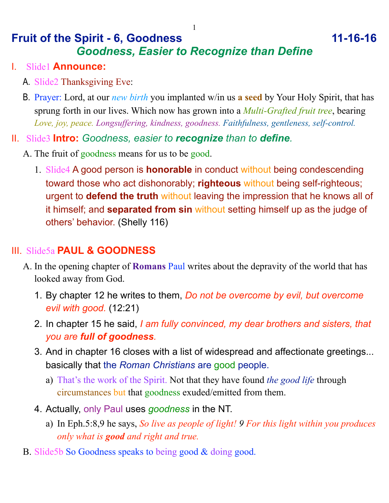# **Fruit of the Spirit - 6, Goodness 11-16-16** *Goodness, Easier to Recognize than Define*

#### I. Slide1 **Announce:**

- A. Slide2 Thanksgiving Eve:
- B. Prayer: Lord, at our *new birth* you implanted w/in us **a seed** by Your Holy Spirit, that has sprung forth in our lives. Which now has grown into a *Multi-Grafted fruit tree*, bearing *Love, joy, peace. Longsuffering, kindness, goodness. Faithfulness, gentleness, self-control.*
- II. Slide3 **Intro:** *Goodness, easier to recognize than to define.*
	- A. The fruit of goodness means for us to be good.
		- 1. Slide4 A good person is **honorable** in conduct without being condescending toward those who act dishonorably; **righteous** without being self-righteous; urgent to **defend the truth** without leaving the impression that he knows all of it himself; and **separated from sin** without setting himself up as the judge of others' behavior. (Shelly 116)

## III. Slide5a **PAUL & GOODNESS**

- A. In the opening chapter of **Romans** Paul writes about the depravity of the world that has looked away from God.
	- 1. By chapter 12 he writes to them, *Do not be overcome by evil, but overcome evil with good.* (12:21)
	- 2. In chapter 15 he said, *I am fully convinced, my dear brothers and sisters, that you are full of goodness.*
	- 3. And in chapter 16 closes with a list of widespread and affectionate greetings... basically that the *Roman Christians* are good people.
		- a) That's the work of the Spirit. Not that they have found *the good life* through circumstances but that goodness exuded/emitted from them.
	- 4. Actually, only Paul uses *goodness* in the NT.
		- a) In Eph.5:8,9 he says, *So live as people of light! 9 For this light within you produces only what is good and right and true.*
- B. Slide5b So Goodness speaks to being good & doing good.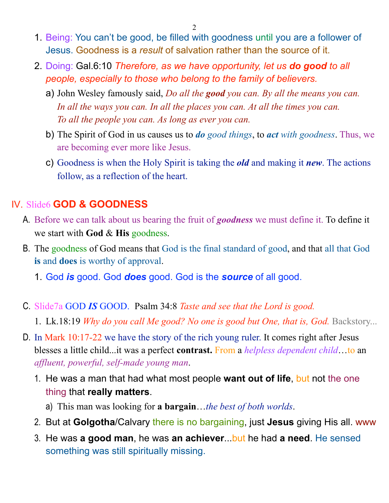$\mathcal{D}$ 

- 1. Being: You can't be good, be filled with goodness until you are a follower of Jesus. Goodness is a *result* of salvation rather than the source of it.
- 2. Doing: Gal.6:10 *Therefore, as we have opportunity, let us do good to all people, especially to those who belong to the family of believers.*
	- a) John Wesley famously said, *Do all the good you can. By all the means you can.*  In all the ways you can. In all the places you can. At all the times you can. *To all the people you can. As long as ever you can.*
	- b) The Spirit of God in us causes us to *do good things*, to *act with goodness*. Thus, we are becoming ever more like Jesus.
	- c) Goodness is when the Holy Spirit is taking the *old* and making it *new*. The actions follow, as a reflection of the heart.

### IV. Slide6 **GOD & GOODNESS**

- A. Before we can talk about us bearing the fruit of *goodness* we must define it. To define it we start with **God** & **His** goodness.
- B. The goodness of God means that God is the final standard of good, and that all that God **is** and **does** is worthy of approval.
	- 1. God *is* good. God *does* good. God is the *source* of all good.
- C. Slide7a GOD *IS* GOOD. Psalm 34:8 *Taste and see that the Lord is good.*
	- 1. Lk.18:19 *Why do you call Me good? No one is good but One, that is, God. Backstory...*
- D. In Mark 10:17-22 we have the story of the rich young ruler. It comes right after Jesus blesses a little child...it was a perfect **contrast.** From a *helpless dependent child*…to an *affluent, powerful, self-made young man*.
	- 1. He was a man that had what most people **want out of life**, but not the one thing that **really matters**.
		- a) This man was looking for **a bargain**…*the best of both worlds*.
	- 2. But at **Golgotha**/Calvary there is no bargaining, just **Jesus** giving His all. www
	- 3. He was **a good man**, he was **an achiever**...but he had **a need**. He sensed something was still spiritually missing.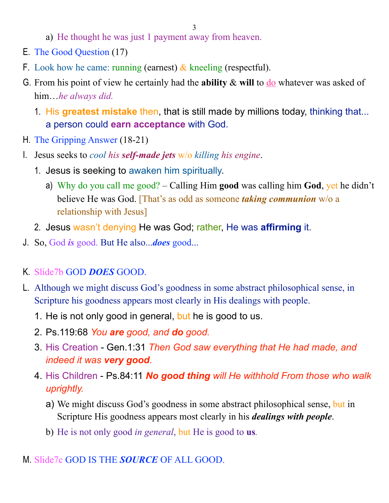- a) He thought he was just 1 payment away from heaven.
- E. The Good Question (17)
- F. Look how he came: running (earnest)  $\&$  kneeling (respectful).
- G. From his point of view he certainly had the **ability** & **will** to do whatever was asked of him…*he always did.*
	- 1. His **greatest mistake** then, that is still made by millions today, thinking that... a person could **earn acceptance** with God.
- H. The Gripping Answer (18-21)
- I. Jesus seeks to *cool his self-made jets* w/o *killing his engine*.
	- 1. Jesus is seeking to awaken him spiritually.
		- a) Why do you call me good? Calling Him **good** was calling him **God**, yet he didn't believe He was God. [That's as odd as someone *taking communion* w/o a relationship with Jesus]
	- 2. Jesus wasn't denying He was God; rather, He was **affirming** it.
- J. So, God *is* good. But He also...*does* good...
- K. Slide7b GOD *DOES* GOOD.
- L. Although we might discuss God's goodness in some abstract philosophical sense, in Scripture his goodness appears most clearly in His dealings with people.
	- 1. He is not only good in general, but he is good to us.
	- 2. Ps.119:68 *You are good, and do good.*
	- 3. His Creation Gen.1:31 *Then God saw everything that He had made, and indeed it was very good.*
	- 4. His Children Ps.84:11 *No good thing will He withhold From those who walk uprightly.* 
		- a) We might discuss God's goodness in some abstract philosophical sense, but in Scripture His goodness appears most clearly in his *dealings with people*.
		- b) He is not only good *in general*, but He is good to **us***.*

#### M. Slide7c GOD IS THE *SOURCE* OF ALL GOOD.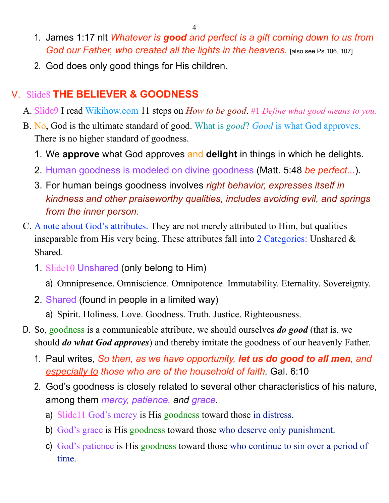- 1. James 1:17 nlt *Whatever is good and perfect is a gift coming down to us from God our Father, who created all the lights in the heavens.* [also see Ps.106, 107]
- 2. God does only good things for His children.

## V. Slide8 **THE BELIEVER & GOODNESS**

- A. Slide9 I read Wikihow.com 11 steps on *How to be good*. #1 *Define what good means to you.*
- B. No, God is the ultimate standard of good. What is *good*? *Good* is what God approves. There is no higher standard of goodness.
	- 1. We **approve** what God approves and **delight** in things in which he delights.
	- 2. Human goodness is modeled on divine goodness (Matt. 5:48 *be perfect...*).
	- 3. For human beings goodness involves *right behavior, expresses itself in kindness and other praiseworthy qualities, includes avoiding evil, and springs from the inner person.*
- C. A note about God's attributes. They are not merely attributed to Him, but qualities inseparable from His very being. These attributes fall into 2 Categories: Unshared & Shared.
	- 1. Slide10 Unshared (only belong to Him)
		- a) Omnipresence. Omniscience. Omnipotence. Immutability. Eternality. Sovereignty.
	- 2. Shared (found in people in a limited way)
		- a) Spirit. Holiness. Love. Goodness. Truth. Justice. Righteousness.
- D. So, goodness is a communicable attribute, we should ourselves *do good* (that is, we should *do what God approves*) and thereby imitate the goodness of our heavenly Father.
	- 1. Paul writes, *So then, as we have opportunity, let us do good to all men, and especially to those who are of the household of faith.* Gal. 6:10
	- 2. God's goodness is closely related to several other characteristics of his nature, among them *mercy, patience, and grace*.
		- a) Slide11 God's mercy is His goodness toward those in distress.
		- b) God's grace is His goodness toward those who deserve only punishment.
		- c) God's patience is His goodness toward those who continue to sin over a period of time.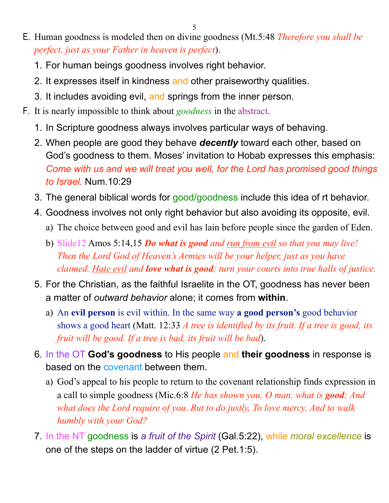- E. Human goodness is modeled then on divine goodness (Mt.5:48 *Therefore you shall be perfect, just as your Father in heaven is perfect*).
	- 1. For human beings goodness involves right behavior.
	- 2. It expresses itself in kindness and other praiseworthy qualities.
	- 3. It includes avoiding evil, and springs from the inner person.
- F. It is nearly impossible to think about *goodness* in the abstract.
	- 1. In Scripture goodness always involves particular ways of behaving.
	- 2. When people are good they behave *decently* toward each other, based on God's goodness to them. Moses' invitation to Hobab expresses this emphasis: *Come with us and we will treat you well, for the Lord has promised good things to Israel.* Num.10:29
	- 3. The general biblical words for good/goodness include this idea of rt behavior.
	- 4. Goodness involves not only right behavior but also avoiding its opposite, evil.
		- a) The choice between good and evil has lain before people since the garden of Eden.
		- b) Slide12 Amos 5:14,15 *Do what is good and run from evil so that you may live! Then the Lord God of Heaven's Armies will be your helper, just as you have claimed. Hate evil and love what is good; turn your courts into true halls of justice.*
	- 5. For the Christian, as the faithful Israelite in the OT, goodness has never been a matter of *outward behavior* alone; it comes from **within**.
		- a) An **evil person** is evil within. In the same way **a good person's** good behavior shows a good heart (Matt. 12:33 *A tree is identified by its fruit. If a tree is good, its fruit will be good. If a tree is bad, its fruit will be bad*).
	- 6. In the OT **God's goodness** to His people and **their goodness** in response is based on the covenant between them.
		- a) God's appeal to his people to return to the covenant relationship finds expression in a call to simple goodness (Mic.6:8 *He has shown you, O man, what is good; And what does the Lord require of you. But to do justly, To love mercy, And to walk humbly with your God?*
	- 7. In the NT goodness is *a fruit of the Spirit* (Gal.5:22), while *moral excellence* is one of the steps on the ladder of virtue (2 Pet.1:5).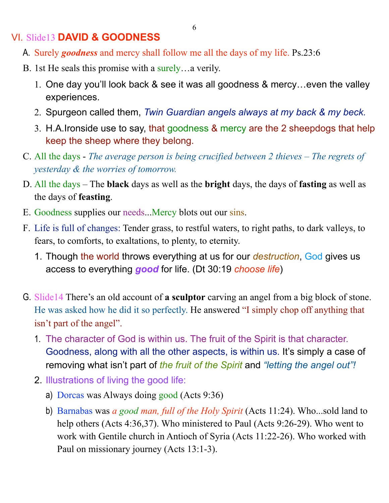### VI. Slide13 **DAVID & GOODNESS**

- A. Surely *goodness* and mercy shall follow me all the days of my life. Ps.23:6
- B. 1st He seals this promise with a surely…a verily.
	- 1. One day you'll look back & see it was all goodness & mercy…even the valley experiences.
	- 2. Spurgeon called them, *Twin Guardian angels always at my back & my beck.*
	- 3. H.A.Ironside use to say, that goodness & mercy are the 2 sheepdogs that help keep the sheep where they belong.
- C. All the days *The average person is being crucified between 2 thieves The regrets of yesterday & the worries of tomorrow.*
- D. All the days The **black** days as well as the **bright** days, the days of **fasting** as well as the days of **feasting**.
- E. Goodness supplies our needs...Mercy blots out our sins.
- F. Life is full of changes: Tender grass, to restful waters, to right paths, to dark valleys, to fears, to comforts, to exaltations, to plenty, to eternity.
	- 1. Though the world throws everything at us for our *destruction*, God gives us access to everything *good* for life. (Dt 30:19 *choose life*)
- G. Slide14 There's an old account of **a sculptor** carving an angel from a big block of stone. He was asked how he did it so perfectly. He answered "I simply chop off anything that isn't part of the angel".
	- 1. The character of God is within us. The fruit of the Spirit is that character. Goodness, along with all the other aspects, is within us. It's simply a case of removing what isn't part of *the fruit of the Spirit* and *"letting the angel out"!*
	- 2. Illustrations of living the good life:
		- a) Dorcas was Always doing good (Acts 9:36)
		- b) Barnabas was *a good man, full of the Holy Spirit* (Acts 11:24). Who...sold land to help others (Acts 4:36,37). Who ministered to Paul (Acts 9:26-29). Who went to work with Gentile church in Antioch of Syria (Acts 11:22-26). Who worked with Paul on missionary journey (Acts 13:1-3).